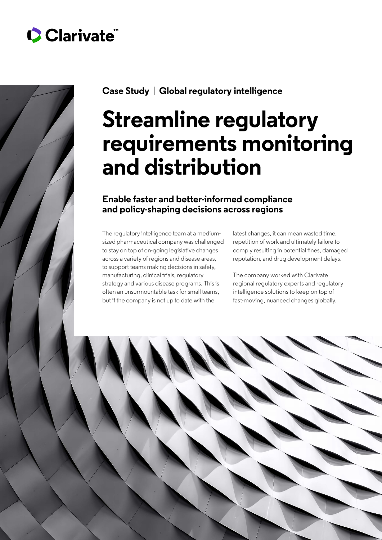## Clarivate



**Case Study** | **Global regulatory intelligence**

# **Streamline regulatory requirements monitoring and distribution**

#### **Enable faster and better-informed compliance and policy-shaping decisions across regions**

The regulatory intelligence team at a mediumsized pharmaceutical company was challenged to stay on top of on-going legislative changes across a variety of regions and disease areas, to support teams making decisions in safety, manufacturing, clinical trials, regulatory strategy and various disease programs. This is often an unsurmountable task for small teams, but if the company is not up to date with the

latest changes, it can mean wasted time, repetition of work and ultimately failure to comply resulting in potential fines, damaged reputation, and drug development delays.

The company worked with Clarivate regional regulatory experts and regulatory intelligence solutions to keep on top of fast-moving, nuanced changes globally.

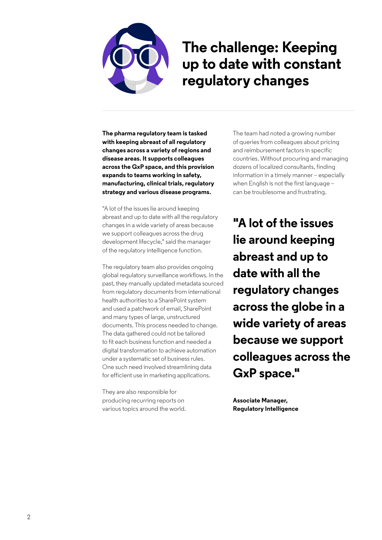

#### **The challenge: Keeping up to date with constant regulatory changes**

**The pharma regulatory team is tasked with keeping abreast of all regulatory changes across a variety of regions and disease areas. It supports colleagues across the GxP space, and this provision expands to teams working in safety, manufacturing, clinical trials, regulatory strategy and various disease programs.** 

"A lot of the issues lie around keeping abreast and up to date with all the regulatory changes in a wide variety of areas because we support colleagues across the drug development lifecycle," said the manager of the regulatory intelligence function.

The regulatory team also provides ongoing global regulatory surveillance workflows. In the past, they manually updated metadata sourced from regulatory documents from international health authorities to a SharePoint system and used a patchwork of email, SharePoint and many types of large, unstructured documents. This process needed to change. The data gathered could not be tailored to fit each business function and needed a digital transformation to achieve automation under a systematic set of business rules. One such need involved streamlining data for efficient use in marketing applications.

They are also responsible for producing recurring reports on various topics around the world. The team had noted a growing number of queries from colleagues about pricing and reimbursement factors in specific countries. Without procuring and managing dozens of localized consultants, finding information in a timely manner – especially when English is not the first language – can be troublesome and frustrating.

**"A lot of the issues lie around keeping abreast and up to date with all the regulatory changes across the globe in a wide variety of areas because we support colleagues across the GxP space."** 

**Associate Manager, Regulatory Intelligence**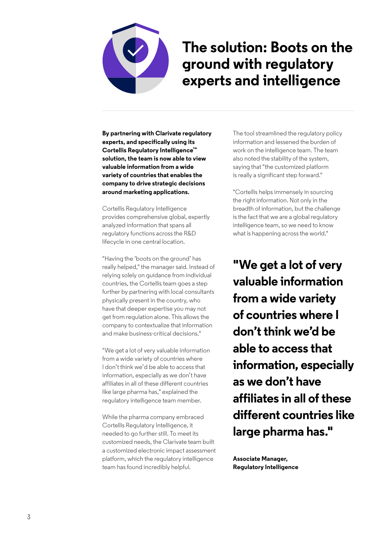

#### **The solution: Boots on the ground with regulatory experts and intelligence**

**By partnering with Clarivate regulatory experts, and specifically using its Cortellis Regulatory Intelligence™ solution, the team is now able to view valuable information from a wide variety of countries that enables the company to drive strategic decisions around marketing applications.**

Cortellis Regulatory Intelligence provides comprehensive global, expertly analyzed information that spans all regulatory functions across the R&D lifecycle in one central location.

"Having the 'boots on the ground' has really helped," the manager said. Instead of relying solely on guidance from individual countries, the Cortellis team goes a step further by partnering with local consultants physically present in the country, who have that deeper expertise you may not get from regulation alone. This allows the company to contextualize that information and make business-critical decisions."

"We get a lot of very valuable information from a wide variety of countries where I don't think we'd be able to access that information, especially as we don't have affiliates in all of these different countries like large pharma has," explained the regulatory intelligence team member.

While the pharma company embraced Cortellis Regulatory Intelligence, it needed to go further still. To meet its customized needs, the Clarivate team built a customized electronic impact assessment platform, which the regulatory intelligence team has found incredibly helpful.

The tool streamlined the regulatory policy information and lessened the burden of work on the intelligence team. The team also noted the stability of the system, saying that "the customized platform is really a significant step forward."

"Cortellis helps immensely in sourcing the right information. Not only in the breadth of information, but the challenge is the fact that we are a global regulatory intelligence team, so we need to know what is happening across the world."

**"We get a lot of very valuable information from a wide variety of countries where I don't think we'd be able to access that information, especially as we don't have affiliates in all of these different countries like large pharma has."** 

**Associate Manager, Regulatory Intelligence**